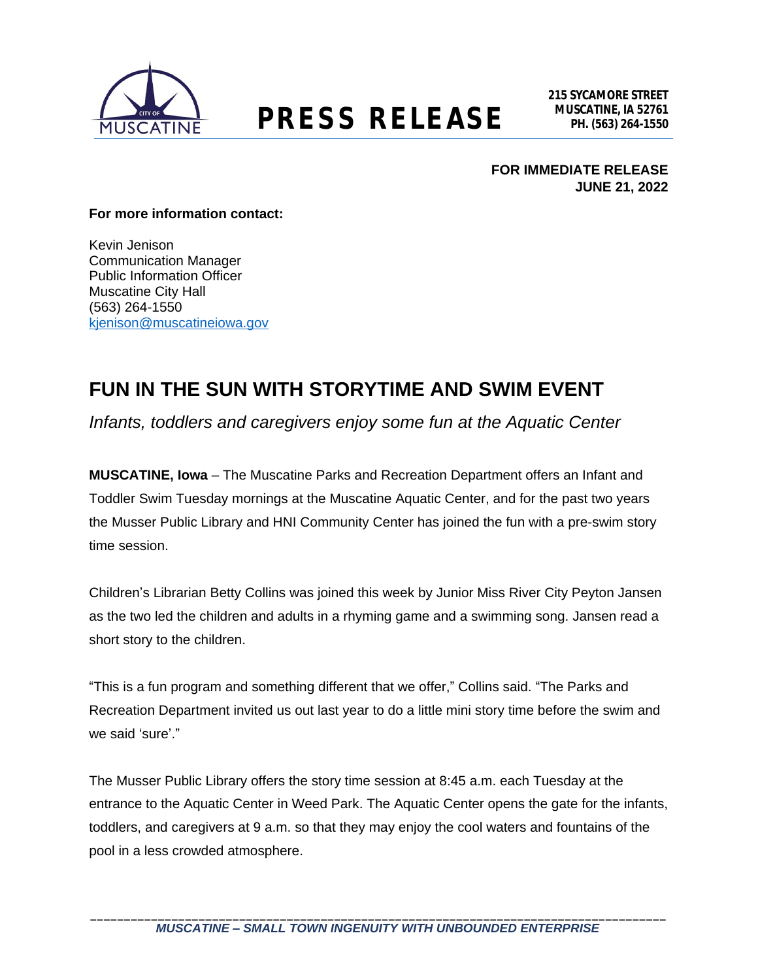

## **MUSCATINE, IA 52761 PRESS RELEASE PH. (563) 264-1550**

**FOR IMMEDIATE RELEASE JUNE 21, 2022**

#### **For more information contact:**

Kevin Jenison Communication Manager Public Information Officer Muscatine City Hall (563) 264-1550 [kjenison@muscatineiowa.gov](mailto:kjenison@muscatineiowa.gov)

### **FUN IN THE SUN WITH STORYTIME AND SWIM EVENT**

*Infants, toddlers and caregivers enjoy some fun at the Aquatic Center*

**MUSCATINE, Iowa** – The Muscatine Parks and Recreation Department offers an Infant and Toddler Swim Tuesday mornings at the Muscatine Aquatic Center, and for the past two years the Musser Public Library and HNI Community Center has joined the fun with a pre-swim story time session.

Children's Librarian Betty Collins was joined this week by Junior Miss River City Peyton Jansen as the two led the children and adults in a rhyming game and a swimming song. Jansen read a short story to the children.

"This is a fun program and something different that we offer," Collins said. "The Parks and Recreation Department invited us out last year to do a little mini story time before the swim and we said 'sure'."

The Musser Public Library offers the story time session at 8:45 a.m. each Tuesday at the entrance to the Aquatic Center in Weed Park. The Aquatic Center opens the gate for the infants, toddlers, and caregivers at 9 a.m. so that they may enjoy the cool waters and fountains of the pool in a less crowded atmosphere.